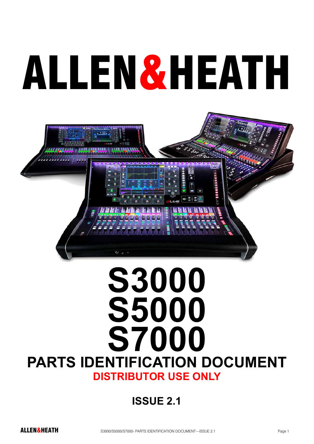# ALLEN&HEATH



# **S3000 S5000 S7000 PARTS IDENTIFICATION DOCUMENT DISTRIBUTOR USE ONLY**

#### **ISSUE 2.1**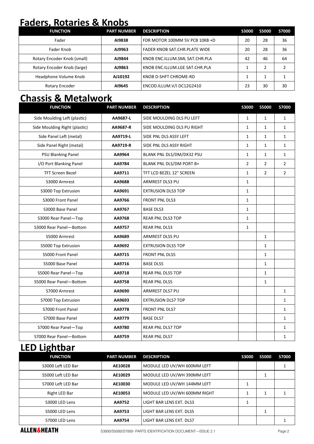#### **Faders, Rotaries & Knobs**

| <b>FUNCTION</b>             | <b>PART NUMBER</b> | <b>DESCRIPTION</b>             | <b>S3000</b> | <b>S5000</b> | S7000 |
|-----------------------------|--------------------|--------------------------------|--------------|--------------|-------|
| Fader                       | AI9838             | FDR MOTOR 100MM 5V PCB 10KB +D | 20           | 28           | 36    |
| Fader Knob                  | AJ9963             | FADER KNOB SAT.CHR.PLATE WIDE  | 20           | 28           | 36    |
| Rotary Encoder Knob (small) | AJ9844             | KNOB ENC.ILLUM.SML SAT.CHR.PLA | 42           | 46           | 64    |
| Rotary Encoder Knob (large) | AJ9863             | KNOB ENC.ILLUM.LGE SAT.CHR.PLA |              |              |       |
| Headphone Volume Knob       | AJ10192            | KNOB D-SHFT CHROME-RD          |              |              |       |
| Rotary Encoder              | AI9645             | ENCOD.ILLUM.V/I DC12G2410      | 23           | 30           | 30    |

#### **Chassis & Metalwork**

| <b>FUNCTION</b>               | <b>PART NUMBER</b> | <b>DESCRIPTION</b>         | <b>S3000</b>   | <b>S5000</b>   | <b>S7000</b>   |
|-------------------------------|--------------------|----------------------------|----------------|----------------|----------------|
| Side Moulding Left (plastic)  | AA9687-L           | SIDE MOULDING DLS PU LEFT  | 1              | $\mathbf{1}$   | $\mathbf{1}$   |
| Side Moulding Right (plastic) | AA9687-R           | SIDE MOULDING DLS PU RIGHT | $\mathbf{1}$   | $\mathbf{1}$   | $\mathbf{1}$   |
| Side Panel Left (metal)       | AA9719-L           | SIDE PNL DLS ASSY LEFT     | $\mathbf{1}$   | $\mathbf{1}$   | $\mathbf{1}$   |
| Side Panel Right (metal)      | AA9719-R           | SIDE PNL DLS ASSY RIGHT    | $\mathbf{1}$   | $\mathbf{1}$   | $\mathbf{1}$   |
| <b>PSU Blanking Panel</b>     | AA9964             | BLANK PNL DLS/DM/DX32 PSU  | $\mathbf{1}$   | $\mathbf{1}$   | $\mathbf{1}$   |
| I/O Port Blanking Panel       | AA9784             | BLANK PNL DLS/DM PORT B+   | $\overline{2}$ | $\overline{2}$ | $\overline{2}$ |
| <b>TFT Screen Bezel</b>       | AA9711             | TFT LCD BEZEL 12" SCREEN   | $\mathbf{1}$   | $\overline{2}$ | $\overline{2}$ |
| S3000 Armrest                 | AA9688             | ARMREST DLS3 PU            | $\mathbf{1}$   |                |                |
| S3000 Top Extrusion           | AA9691             | <b>EXTRUSION DLS3 TOP</b>  | $\mathbf{1}$   |                |                |
| S3000 Front Panel             | AA9766             | <b>FRONT PNL DLS3</b>      | $\mathbf{1}$   |                |                |
| S3000 Base Panel              | AA9767             | <b>BASE DLS3</b>           | $\mathbf{1}$   |                |                |
| S3000 Rear Panel-Top          | AA9768             | <b>REAR PNL DLS3 TOP</b>   | $\mathbf{1}$   |                |                |
| S3000 Rear Panel-Bottom       | AA9757             | <b>REAR PNL DLS3</b>       | $\mathbf{1}$   |                |                |
| S5000 Armrest                 | AA9689             | ARMREST DLS5 PU            |                | $\mathbf{1}$   |                |
| S5000 Top Extrusion           | AA9692             | <b>EXTRUSION DLS5 TOP</b>  |                | $\mathbf{1}$   |                |
| S5000 Front Panel             | AA9715             | <b>FRONT PNL DLS5</b>      |                | $\mathbf{1}$   |                |
| S5000 Base Panel              | AA9716             | <b>BASE DLS5</b>           |                | $\mathbf{1}$   |                |
| S5000 Rear Panel-Top          | AA9718             | <b>REAR PNL DLS5 TOP</b>   |                | $\mathbf{1}$   |                |
| S5000 Rear Panel-Bottom       | AA9758             | <b>REAR PNL DLS5</b>       |                | $\mathbf{1}$   |                |
| S7000 Armrest                 | AA9690             | ARMREST DLS7 PU            |                |                | $\mathbf{1}$   |
| S7000 Top Extrusion           | AA9693             | <b>EXTRUSION DLS7 TOP</b>  |                |                | $\mathbf{1}$   |
| S7000 Front Panel             | AA9778             | FRONT PNL DLS7             |                |                | $\mathbf{1}$   |
| S7000 Base Panel              | AA9779             | <b>BASE DLS7</b>           |                |                | $\mathbf{1}$   |
| S7000 Rear Panel-Top          | AA9780             | <b>REAR PNL DLS7 TOP</b>   |                |                | $\mathbf{1}$   |
| S7000 Rear Panel-Bottom       | AA9759             | <b>REAR PNL DLS7</b>       |                |                | $\mathbf 1$    |

#### **LED Lightbar**

| <b>FUNCTION</b>    | <b>PART NUMBER</b> | <b>DESCRIPTION</b>           | S3000 | <b>S5000</b> | S7000 |
|--------------------|--------------------|------------------------------|-------|--------------|-------|
| S3000 Left LED Bar | AE10028            | MODULE LED UV/WH 600MM LEFT  |       |              |       |
| S5000 Left LED Bar | AE10029            | MODULE LED UV/WH 390MM LEFT  |       |              |       |
| S7000 Left LED Bar | AE10030            | MODULE LED UV/WH 144MM LEFT  |       |              |       |
| Right LED Bar      | AE10053            | MODULE LED UV/WH 600MM RIGHT |       |              |       |
| S3000 LED Lens     | AA9752             | LIGHT BAR LENS EXT. DLS3     |       |              |       |
| S5000 LED Lens     | AA9753             | LIGHT BAR LENS EXT. DLS5     |       |              |       |
| S7000 LED Lens     | AA9754             | LIGHT BAR LENS EXT. DLS7     |       |              |       |